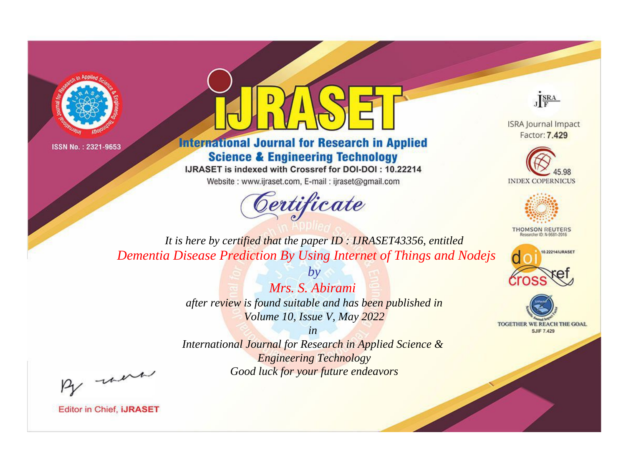



**International Journal for Research in Applied Science & Engineering Technology** 

IJRASET is indexed with Crossref for DOI-DOI: 10.22214

Website: www.ijraset.com, E-mail: ijraset@gmail.com



JERA

**ISRA Journal Impact** Factor: 7.429





**THOMSON REUTERS** 



TOGETHER WE REACH THE GOAL **SJIF 7.429** 

*It is here by certified that the paper ID : IJRASET43356, entitled Dementia Disease Prediction By Using Internet of Things and Nodejs*

> *Mrs. S. Abirami after review is found suitable and has been published in Volume 10, Issue V, May 2022*

*by*

*in* 

*International Journal for Research in Applied Science & Engineering Technology Good luck for your future endeavors*

By morn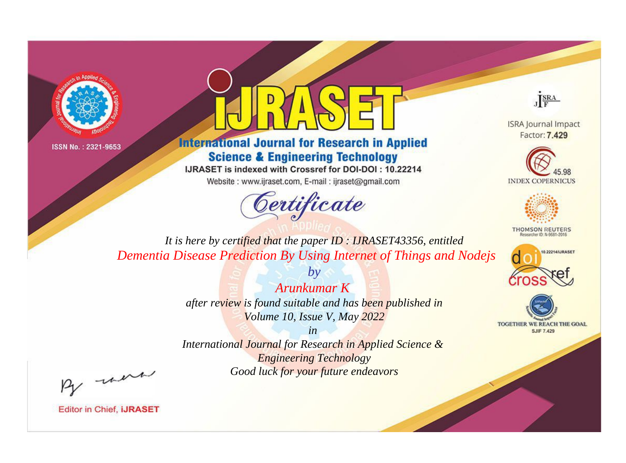



**International Journal for Research in Applied Science & Engineering Technology** 

IJRASET is indexed with Crossref for DOI-DOI: 10.22214

Website: www.ijraset.com, E-mail: ijraset@gmail.com



JERA

**ISRA Journal Impact** Factor: 7.429





**THOMSON REUTERS** 



TOGETHER WE REACH THE GOAL **SJIF 7.429** 

*It is here by certified that the paper ID : IJRASET43356, entitled Dementia Disease Prediction By Using Internet of Things and Nodejs*

> *Arunkumar K after review is found suitable and has been published in Volume 10, Issue V, May 2022*

*by*

*in* 

*International Journal for Research in Applied Science & Engineering Technology Good luck for your future endeavors*

By morn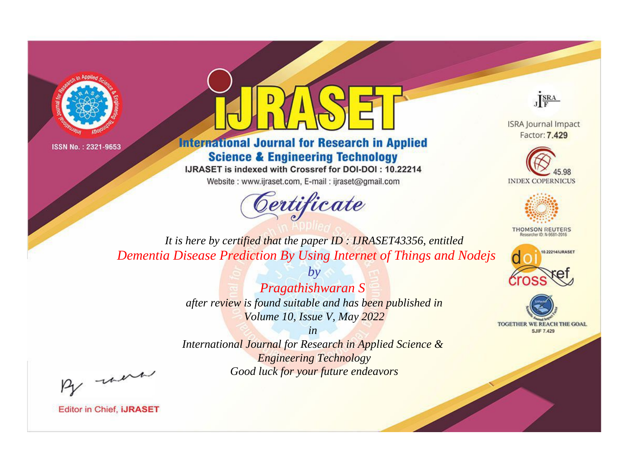



**International Journal for Research in Applied Science & Engineering Technology** 

IJRASET is indexed with Crossref for DOI-DOI: 10.22214

Website: www.ijraset.com, E-mail: ijraset@gmail.com



JERA

**ISRA Journal Impact** Factor: 7.429





**THOMSON REUTERS** 



TOGETHER WE REACH THE GOAL **SJIF 7.429** 

*It is here by certified that the paper ID : IJRASET43356, entitled Dementia Disease Prediction By Using Internet of Things and Nodejs*

> *by Pragathishwaran S after review is found suitable and has been published in Volume 10, Issue V, May 2022*

> > *in*

*International Journal for Research in Applied Science & Engineering Technology Good luck for your future endeavors*

By morn